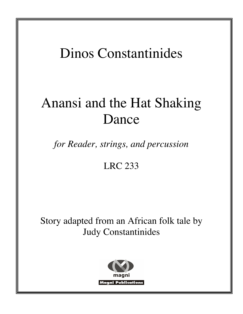## Dinos Constantinides

# Anansi and the Hat Shaking Dance

*for Reader, strings, and percussion*

## LRC 233

Story adapted from an African folk tale by Judy Constantinides